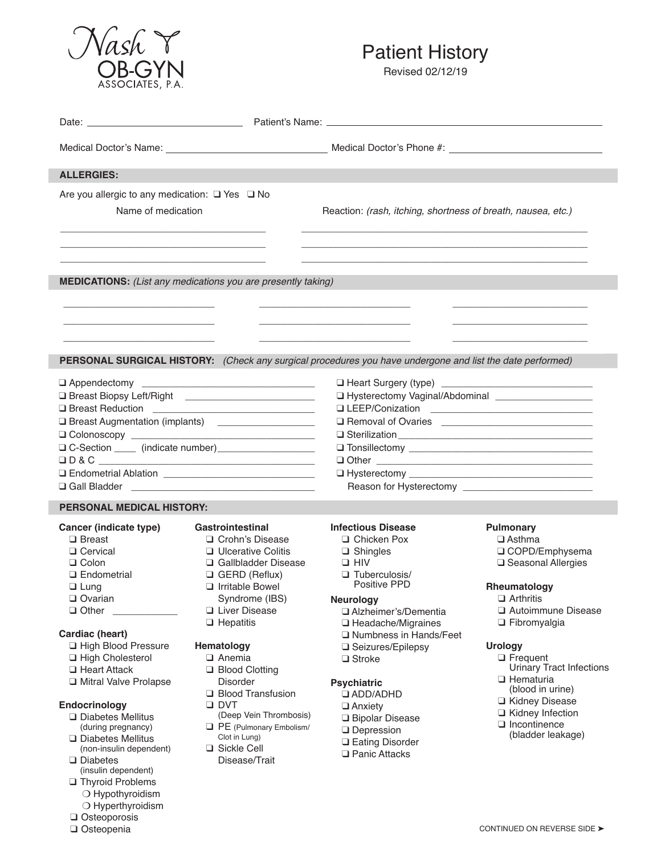

**Q** Thyroid Problems O Hypothyroidism O Hyperthyroidism  $\square$  Osteoporosis  $\square$  Osteopenia

## Patient History

Revised 02/12/19

| <b>ALLERGIES:</b>                                        |                                                                     |                                                                                                                                                                                                                                      |                                          |
|----------------------------------------------------------|---------------------------------------------------------------------|--------------------------------------------------------------------------------------------------------------------------------------------------------------------------------------------------------------------------------------|------------------------------------------|
| Are you allergic to any medication: $\Box$ Yes $\Box$ No |                                                                     |                                                                                                                                                                                                                                      |                                          |
| Name of medication                                       |                                                                     | Reaction: (rash, itching, shortness of breath, nausea, etc.)                                                                                                                                                                         |                                          |
|                                                          |                                                                     |                                                                                                                                                                                                                                      |                                          |
|                                                          |                                                                     |                                                                                                                                                                                                                                      |                                          |
|                                                          |                                                                     |                                                                                                                                                                                                                                      |                                          |
|                                                          | <b>MEDICATIONS:</b> (List any medications you are presently taking) |                                                                                                                                                                                                                                      |                                          |
|                                                          |                                                                     |                                                                                                                                                                                                                                      |                                          |
|                                                          |                                                                     |                                                                                                                                                                                                                                      |                                          |
|                                                          |                                                                     |                                                                                                                                                                                                                                      |                                          |
|                                                          |                                                                     |                                                                                                                                                                                                                                      |                                          |
|                                                          |                                                                     | PERSONAL SURGICAL HISTORY: (Check any surgical procedures you have undergone and list the date performed)                                                                                                                            |                                          |
|                                                          |                                                                     |                                                                                                                                                                                                                                      |                                          |
|                                                          |                                                                     |                                                                                                                                                                                                                                      |                                          |
|                                                          |                                                                     | I Hysterectomy Vaginal/Abdominal _____________________                                                                                                                                                                               |                                          |
|                                                          |                                                                     |                                                                                                                                                                                                                                      |                                          |
|                                                          | <b>Q Breast Augmentation (implants)</b> _______________________     | O Removal of Ovaries <b>Constantine Constantine Constantine Constantine Constantine Constantine Constantine Constantine Constantine Constantine Constantine Constantine Constantine Constantine Constantine Constantine Constant</b> |                                          |
|                                                          |                                                                     |                                                                                                                                                                                                                                      |                                          |
|                                                          |                                                                     |                                                                                                                                                                                                                                      |                                          |
|                                                          |                                                                     |                                                                                                                                                                                                                                      |                                          |
|                                                          |                                                                     |                                                                                                                                                                                                                                      |                                          |
|                                                          |                                                                     |                                                                                                                                                                                                                                      |                                          |
| <b>PERSONAL MEDICAL HISTORY:</b>                         |                                                                     |                                                                                                                                                                                                                                      |                                          |
| Cancer (indicate type)                                   | <b>Gastrointestinal</b>                                             | <b>Infectious Disease</b>                                                                                                                                                                                                            | <b>Pulmonary</b>                         |
| $\Box$ Breast                                            | □ Crohn's Disease                                                   | □ Chicken Pox                                                                                                                                                                                                                        | $\Box$ Asthma                            |
| □ Cervical                                               | □ Ulcerative Colitis                                                | $\Box$ Shingles                                                                                                                                                                                                                      | □ COPD/Emphysema                         |
| $\Box$ Colon                                             | Gallbladder Disease                                                 | $\Box$ HIV                                                                                                                                                                                                                           | □ Seasonal Allergies                     |
| $\Box$ Endometrial                                       | $\Box$ GERD (Reflux)                                                | $\Box$ Tuberculosis/                                                                                                                                                                                                                 |                                          |
| $\Box$ Lung                                              | $\Box$ Irritable Bowel                                              | Positive PPD                                                                                                                                                                                                                         | Rheumatology                             |
| $\Box$ Ovarian                                           | Syndrome (IBS)                                                      | <b>Neurology</b>                                                                                                                                                                                                                     | $\Box$ Arthritis                         |
| $\Box$ Other                                             | Liver Disease                                                       | □ Alzheimer's/Dementia                                                                                                                                                                                                               | Autoimmune Disease                       |
| Cardiac (heart)                                          | $\Box$ Hepatitis                                                    | $\Box$ Headache/Migraines                                                                                                                                                                                                            | $\Box$ Fibromyalgia                      |
| □ High Blood Pressure                                    | <b>Hematology</b>                                                   | □ Numbness in Hands/Feet                                                                                                                                                                                                             | <b>Urology</b>                           |
| □ High Cholesterol                                       | □ Anemia                                                            | □ Seizures/Epilepsy<br>$\Box$ Stroke                                                                                                                                                                                                 | $\Box$ Frequent                          |
| □ Heart Attack                                           | <b>Blood Clotting</b>                                               |                                                                                                                                                                                                                                      | <b>Urinary Tract Infections</b>          |
| □ Mitral Valve Prolapse                                  | <b>Disorder</b>                                                     | <b>Psychiatric</b>                                                                                                                                                                                                                   | □ Hematuria                              |
|                                                          | <b>Blood Transfusion</b>                                            | <b>Q ADD/ADHD</b>                                                                                                                                                                                                                    | (blood in urine)                         |
| Endocrinology                                            | $\Box$ DVT                                                          | $\Box$ Anxiety                                                                                                                                                                                                                       | □ Kidney Disease                         |
| $\Box$ Diabetes Mellitus                                 | (Deep Vein Thrombosis)                                              | □ Bipolar Disease                                                                                                                                                                                                                    | □ Kidney Infection                       |
| (during pregnancy)                                       | PE (Pulmonary Embolism/                                             | $\Box$ Depression                                                                                                                                                                                                                    | $\Box$ Incontinence<br>(bladder leakage) |
| $\Box$ Diabetes Mellitus                                 | Clot in Lung)                                                       | <b>Q</b> Eating Disorder                                                                                                                                                                                                             |                                          |
| (non-insulin dependent)<br>$\Box$ Diabetes               | □ Sickle Cell<br>Disease/Trait                                      | <b>Q</b> Panic Attacks                                                                                                                                                                                                               |                                          |
| (insulin dependent)                                      |                                                                     |                                                                                                                                                                                                                                      |                                          |